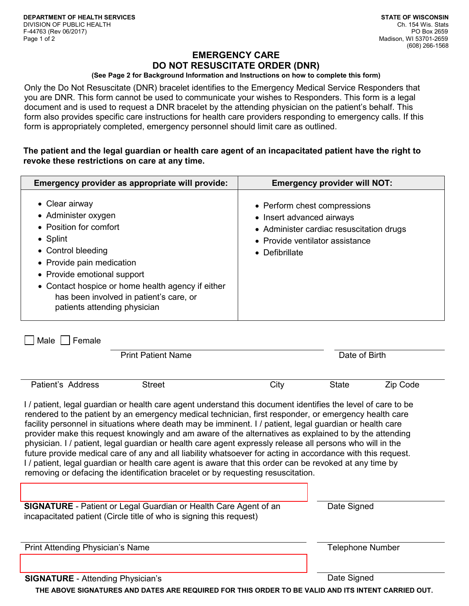# **EMERGENCY CARE DO NOT RESUSCITATE ORDER (DNR)**

### **(See Page 2 for Background Information and Instructions on how to complete this form)**

Only the Do Not Resuscitate (DNR) bracelet identifies to the Emergency Medical Service Responders that you are DNR. This form cannot be used to communicate your wishes to Responders. This form is a legal document and is used to request a DNR bracelet by the attending physician on the patient's behalf. This form also provides specific care instructions for health care providers responding to emergency calls. If this form is appropriately completed, emergency personnel should limit care as outlined.

# **The patient and the legal guardian or health care agent of an incapacitated patient have the right to revoke these restrictions on care at any time.**

| Emergency provider as appropriate will provide:                                                                                                                                                                                                                                                       | <b>Emergency provider will NOT:</b>                                                                                                                                |
|-------------------------------------------------------------------------------------------------------------------------------------------------------------------------------------------------------------------------------------------------------------------------------------------------------|--------------------------------------------------------------------------------------------------------------------------------------------------------------------|
| • Clear airway<br>• Administer oxygen<br>• Position for comfort<br>$\bullet$ Splint<br>• Control bleeding<br>• Provide pain medication<br>• Provide emotional support<br>• Contact hospice or home health agency if either<br>has been involved in patient's care, or<br>patients attending physician | • Perform chest compressions<br>• Insert advanced airways<br>• Administer cardiac resuscitation drugs<br>• Provide ventilator assistance<br>$\bullet$ Defibrillate |

 $\Box$  Male  $\Box$  Female

|                   | <b>Print Patient Name</b> |      | Date of Birth |          |  |
|-------------------|---------------------------|------|---------------|----------|--|
|                   |                           |      |               |          |  |
| Patient's Address | Street                    | City | <b>State</b>  | Zip Code |  |

I / patient, legal guardian or health care agent understand this document identifies the level of care to be rendered to the patient by an emergency medical technician, first responder, or emergency health care facility personnel in situations where death may be imminent. I / patient, legal guardian or health care provider make this request knowingly and am aware of the alternatives as explained to by the attending physician. I / patient, legal guardian or health care agent expressly release all persons who will in the future provide medical care of any and all liability whatsoever for acting in accordance with this request. I / patient, legal guardian or health care agent is aware that this order can be revoked at any time by removing or defacing the identification bracelet or by requesting resuscitation.

| <b>SIGNATURE</b> - Patient or Legal Guardian or Health Care Agent of an | Date Signed |  |
|-------------------------------------------------------------------------|-------------|--|
| incapacitated patient (Circle title of who is signing this request)     |             |  |

Print Attending Physician's Name Telephone Number and Telephone Number

**SIGNATURE** - Attending Physician's **Date Signed** Date Signed

**THE ABOVE SIGNATURES AND DATES ARE REQUIRED FOR THIS ORDER TO BE VALID AND ITS INTENT CARRIED OUT.**